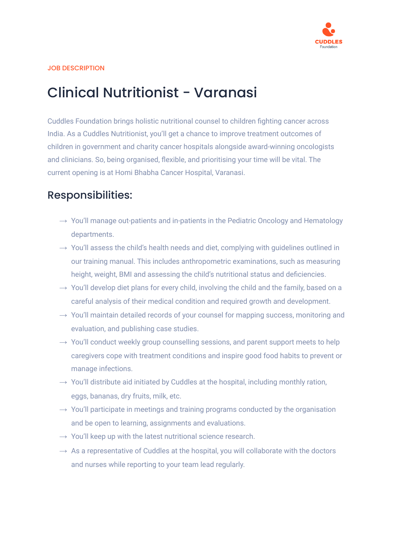

#### JOB DESCRIPTION

# Clinical Nutritionist - Varanasi

Cuddles Foundation brings holistic nutritional counsel to children fighting cancer across India. As a Cuddles Nutritionist, you'll get a chance to improve treatment outcomes of children in government and charity cancer hospitals alongside award-winning oncologists and clinicians. So, being organised, flexible, and prioritising your time will be vital. The current opening is at Homi Bhabha Cancer Hospital, Varanasi.

### Responsibilities:

- $\rightarrow$  You'll manage out-patients and in-patients in the Pediatric Oncology and Hematology departments.
- $\rightarrow$  You'll assess the child's health needs and diet, complying with guidelines outlined in our training manual. This includes anthropometric examinations, such as measuring height, weight, BMI and assessing the child's nutritional status and deficiencies.
- $\rightarrow$  You'll develop diet plans for every child, involving the child and the family, based on a careful analysis of their medical condition and required growth and development.
- $\rightarrow$  You'll maintain detailed records of your counsel for mapping success, monitoring and evaluation, and publishing case studies.
- $\rightarrow$  You'll conduct weekly group counselling sessions, and parent support meets to help caregivers cope with treatment conditions and inspire good food habits to prevent or manage infections.
- $\rightarrow$  You'll distribute aid initiated by Cuddles at the hospital, including monthly ration, eggs, bananas, dry fruits, milk, etc.
- $\rightarrow$  You'll participate in meetings and training programs conducted by the organisation and be open to learning, assignments and evaluations.
- $\rightarrow$  You'll keep up with the latest nutritional science research.
- $\rightarrow$  As a representative of Cuddles at the hospital, you will collaborate with the doctors and nurses while reporting to your team lead regularly.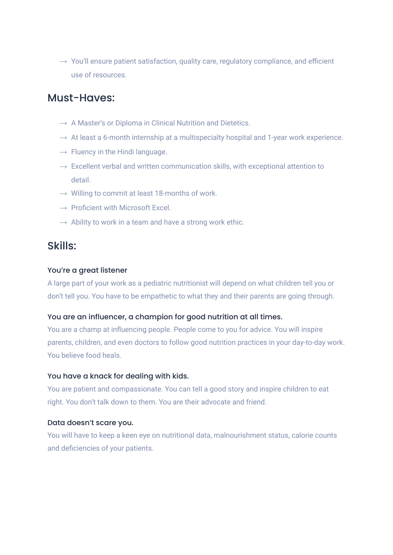$\rightarrow$  You'll ensure patient satisfaction, quality care, regulatory compliance, and efficient use of resources.

### Must-Haves:

- $\rightarrow$  A Master's or Diploma in Clinical Nutrition and Dietetics.
- $\rightarrow$  At least a 6-month internship at a multispecialty hospital and 1-year work experience.
- $\rightarrow$  Fluency in the Hindi language.
- $\rightarrow$  Excellent verbal and written communication skills, with exceptional attention to detail.
- $\rightarrow$  Willing to commit at least 18-months of work.
- $\rightarrow$  Proficient with Microsoft Excel.
- $\rightarrow$  Ability to work in a team and have a strong work ethic.

### Skills:

#### You're a great listener

A large part of your work as a pediatric nutritionist will depend on what children tell you or don't tell you. You have to be empathetic to what they and their parents are going through.

#### You are an influencer, a champion for good nutrition at all times.

You are a champ at influencing people. People come to you for advice. You will inspire parents, children, and even doctors to follow good nutrition practices in your day-to-day work. You believe food heals.

#### You have a knack for dealing with kids.

You are patient and compassionate. You can tell a good story and inspire children to eat right. You don't talk down to them. You are their advocate and friend.

#### Data doesn't scare you.

You will have to keep a keen eye on nutritional data, malnourishment status, calorie counts and deficiencies of your patients.